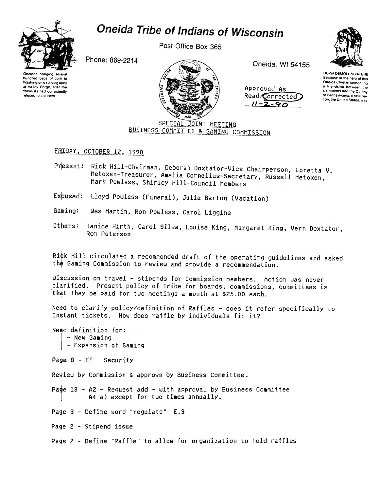

## Oneida Tribe of Indians of Wisconsin

Post Office Box 365

Phone: 869-2214



Oneida, WI 54155





**UGWA DEMOLUM YATEHE** Because of the help of this Oneida Chief in cementing a friendship between the six nations and the Colony of Pennsylvania, a new nation, the United States, was

SPECIAL JOINT MEETING BUSINESS COMMITTEE & GAMING COMMISSION

FRIDAY, OCTOBER 12, 1990

Present: Rick Hill-Chairman, Deborah Doxtator-Vice Chairperson, Loretta V. Metoxen-Treasurer, Amelia Cornelius-Secretary, Russell Metoxen, Mark Powless, Shirley Hill-Council Members

Excused: Lloyd Powless (Funeral), Julie Barton (Vacation)

Gaming: Wes Martin, Ron Powless, Carol Liggins

Others: Janice Hirth, Carol Silva, Louise King, Margaret King, Vern Doxtator, Ron Peterson

Rick Hill circulated a recommended draft of the operating quidelines and asked the Gaming Commission to review and provide a recommendation.

Discussion on travel - stipends for Commission members. Action was never clarified. Present policy of Tribe for boards, commissions, committees is that they be paid for two meetings a month at \$25.00 each.

Need to clarify policy/definition of Raffles - does it refer specifically to Instant tickets. How does raffle by individuals fit it?

Need definition for: - New Gaming - Expansion of Gaming

Page  $8$  - FF Security

Review by Commission & approve by Business Committee.

Page 13 - A2 - Request add - with approval by Business Committee A4 a) except for two times annually.

Page 3 - Define word "regulate" E.3

Page 2 - Stipend issue

Page 7 - Define "Raffle" to allow for organization to hold raffles